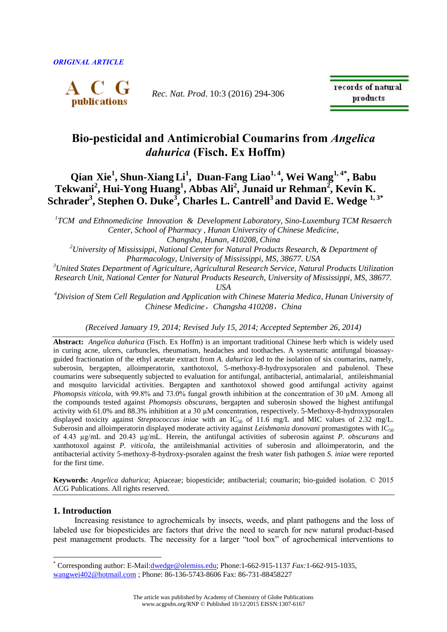

*Rec. Nat. Prod*. 10:3 (2016) 294-306

records of natural products

# **Bio-pesticidal and Antimicrobial Coumarins from** *Angelica dahurica* **(Fisch. Ex Hoffm)**

# **Qian Xie<sup>1</sup> , Shun-Xiang Li<sup>1</sup> , Duan-Fang Liao1, 4, Wei Wang1, 4\* , Babu Tekwani<sup>2</sup> , Hui-Yong Huang<sup>1</sup> , Abbas Ali<sup>2</sup> , Junaid ur Rehman<sup>2</sup> , Kevin K. Schrader<sup>3</sup> , Stephen O. Duke<sup>3</sup> , Charles L. Cantrell<sup>3</sup> and David E. Wedge 1, 3\***

*1 TCM and Ethnomedicine Innovation & Development Laboratory, Sino-Luxemburg TCM Resaerch Center, School of Pharmacy , Hunan University of Chinese Medicine, Changsha, Hunan, 410208, China*

*<sup>2</sup>University of Mississippi, National Center for Natural Products Research, & Department of Pharmacology, University of Mississippi, MS, 38677. USA*

*<sup>3</sup>United States Department of Agriculture, Agricultural Research Service, Natural Products Utilization Research Unit, National Center for Natural Products Research, University of Mississippi, MS, 38677. USA*

*<sup>4</sup>Division of Stem Cell Regulation and Application with Chinese Materia Medica, Hunan University of Chinese Medicine*,*Changsha 410208*,*China*

*(Received January 19, 2014; Revised July 15, 2014; Accepted September 26, 2014)*

**Abstract:** *Angelica dahurica* (Fisch. Ex Hoffm) is an important traditional Chinese herb which is widely used in curing acne, ulcers, carbuncles, rheumatism, headaches and toothaches. A systematic antifungal bioassayguided fractionation of the ethyl acetate extract from *A. dahurica* led to the isolation of six coumarins, namely, suberosin, bergapten, alloimperatorin, xanthotoxol, 5-methoxy-8-hydroxypsoralen and pabulenol. These coumarins were subsequently subjected to evaluation for antifungal, antibacterial, antimalarial, antileishmanial and mosquito larvicidal activities. Bergapten and xanthotoxol showed good antifungal activity against *Phomopsis viticola*, with 99.8% and 73.0% fungal growth inhibition at the concentration of 30 µM. Among all the compounds tested against *Phomopsis obscurans*, bergapten and suberosin showed the highest antifungal activity with 61.0% and 88.3% inhibition at a 30 µM concentration, respectively. 5-Methoxy-8-hydroxypsoralen displayed toxicity against *Streptococcus iniae* with an IC<sub>50</sub> of 11.6 mg/L and MIC values of 2.32 mg/L. Suberosin and alloimperatorin displayed moderate activity against *Leishmania donovani* promastigotes with IC<sub>50</sub> of 4.43 µg/mL and 20.43 µg/mL. Herein, the antifungal activities of suberosin against *P. obscurans* and xanthotoxol against *P. viticola*, the antileishmanial activities of suberosin and alloimperatorin, and the antibacterial activity 5-methoxy-8-hydroxy-psoralen against the fresh water fish pathogen *S. iniae* were reported for the first time.

**Keywords:** *Angelica dahurica*; Apiaceae; biopesticide; antibacterial; coumarin; bio-guided isolation. © 2015 ACG Publications. All rights reserved.

# **1. Introduction**

 $\overline{a}$ 

Increasing resistance to agrochemicals by insects, weeds, and plant pathogens and the loss of labeled use for biopesticides are factors that drive the need to search for new natural product-based pest management products. The necessity for a larger "tool box" of agrochemical interventions to

<sup>\*</sup> Corresponding author: E-Mail:[dwedge@olemiss.edu;](mailto:dwedge@olemiss.edu) Phone:1-662-915-1137 *Fax:*1-662-915-1035,

[wangwei402@hotmail.com](mailto:wangwei402@hotmail.com) ; Phone: 86-136-5743-8606 Fax: 86-731-88458227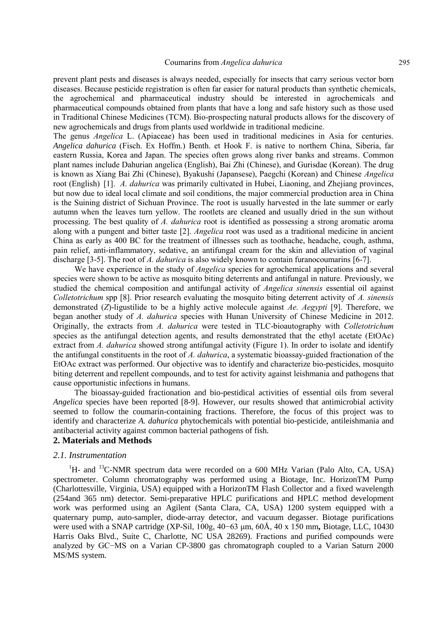prevent plant pests and diseases is always needed, especially for insects that carry serious vector born diseases. Because pesticide registration is often far easier for natural products than synthetic chemicals, the agrochemical and pharmaceutical industry should be interested in agrochemicals and pharmaceutical compounds obtained from plants that have a long and safe history such as those used in Traditional Chinese Medicines (TCM). Bio-prospecting natural products allows for the discovery of new agrochemicals and drugs from plants used worldwide in traditional medicine.

The genus *Angelica* L. (Apiaceae) has been used in traditional medicines in Asia for centuries. *Angelica dahurica* (Fisch. Ex Hoffm.) Benth. et Hook F. is native to northern China, Siberia, far eastern Russia, Korea and Japan. The species often grows along river banks and streams. Common plant names include Dahurian angelica (English), Bai Zhi (Chinese), and Gurisdae (Korean). The drug is known as Xiang Bai Zhi (Chinese), Byakushi (Japansese), Paegchi (Korean) and Chinese *Angelica* root (English) [1]. *A. dahurica* was primarily cultivated in Hubei, Liaoning, and Zhejiang provinces, but now due to ideal local climate and soil conditions, the major commercial production area in China is the Suining district of Sichuan Province. The root is usually harvested in the late summer or early autumn when the leaves turn yellow. The rootlets are cleaned and usually dried in the sun without processing. The best quality of *A. dahurica* root is identified as possessing a strong aromatic aroma along with a pungent and bitter taste [2]. *Angelica* root was used as a traditional medicine in ancient China as early as 400 BC for the treatment of illnesses such as toothache, headache, cough, asthma, pain relief, anti-inflammatory, sedative, an antifungal cream for the skin and alleviation of vaginal discharge [3-5]. The root of *A. dahurica* is also widely known to contain furanocoumarins [6-7].

We have experience in the study of *Angelica* species for agrochemical applications and several species were shown to be active as mosquito biting deterrents and antifungal in nature. Previously, we studied the chemical composition and antifungal activity of *Angelica sinensis* essential oil against *Colletotrichum* spp [8]. Prior research evaluating the mosquito biting deterrent activity of *A. sinensis* demonstrated (*Z*)-ligustilide to be a highly active molecule against *Ae. Aegypti* [9]. Therefore, we began another study of *A. dahurica* species with Hunan University of Chinese Medicine in 2012. Originally, the extracts from *A. dahurica* were tested in TLC-bioautography with *Colletotrichum* species as the antifungal detection agents, and results demonstrated that the ethyl acetate (EtOAc) extract from *A. dahurica* showed strong antifungal activity (Figure 1). In order to isolate and identify the antifungal constituents in the root of *A. dahurica*, a systematic bioassay-guided fractionation of the EtOAc extract was performed. Our objective was to identify and characterize bio-pesticides, mosquito biting deterrent and repellent compounds, and to test for activity against leishmania and pathogens that cause opportunistic infections in humans.

The bioassay-guided fractionation and bio-pestidical activities of essential oils from several *Angelica* species have been reported [8-9]. However, our results showed that antimicrobial activity seemed to follow the coumarin-containing fractions. Therefore, the focus of this project was to identify and characterize *A. dahurica* phytochemicals with potential bio-pesticide, antileishmania and antibacterial activity against common bacterial pathogens of fish.

# **2. Materials and Methods**

# *2.1. Instrumentation*

 ${}^{1}$ H- and  ${}^{13}$ C-NMR spectrum data were recorded on a 600 MHz Varian (Palo Alto, CA, USA) spectrometer. Column chromatography was performed using a Biotage, Inc. HorizonTM Pump (Charlottesville, Virginia, USA) equipped with a HorizonTM Flash Collector and a fixed wavelength (254and 365 nm) detector. Semi-preparative HPLC purifications and HPLC method development work was performed using an Agilent (Santa Clara, CA, USA) 1200 system equipped with a quaternary pump, auto-sampler, diode-array detector, and vacuum degasser. Biotage purifications were used with a SNAP cartridge (XP-Sil, 100g, 40−63 μm, 60Å, 40 x 150 mm**,** Biotage, LLC, 10430 Harris Oaks Blvd., Suite C, Charlotte, NC USA 28269). Fractions and purified compounds were analyzed by GC−MS on a Varian CP-3800 gas chromatograph coupled to a Varian Saturn 2000 MS/MS system.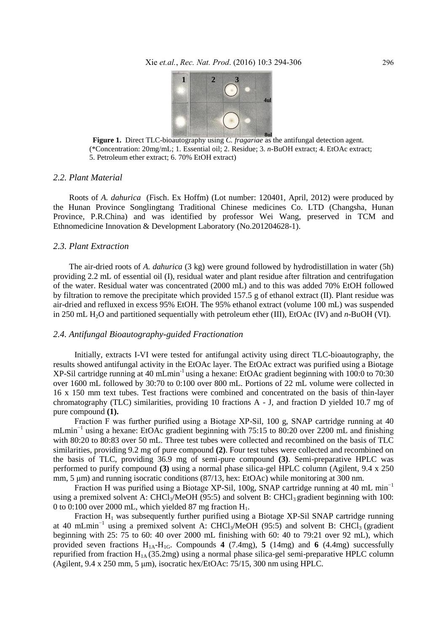

 **Figure 1.** Direct TLC-bioautography using *C. fragariae* as the antifungal detection agent. (\*Concentration: 20mg/mL; 1. Essential oil; 2. Residue; 3. *n*-BuOH extract; 4. EtOAc extract; 5. Petroleum ether extract; 6. 70% EtOH extract)

# *2.2. Plant Material*

Roots of *A. dahurica* (Fisch. Ex Hoffm) (Lot number: 120401, April, 2012) were produced by the Hunan Province Songlingtang Traditional Chinese medicines Co. LTD (Changsha, Hunan Province, P.R.China) and was identified by professor Wei Wang, preserved in TCM and Ethnomedicine Innovation & Development Laboratory (No.201204628-1).

#### *2.3. Plant Extraction*

The air-dried roots of *A. dahurica* (3 kg) were ground followed by hydrodistillation in water (5h) providing 2.2 mL of essential oil (I), residual water and plant residue after filtration and centrifugation of the water. Residual water was concentrated (2000 mL) and to this was added 70% EtOH followed by filtration to remove the precipitate which provided 157.5 g of ethanol extract (II). Plant residue was air-dried and refluxed in excess 95% EtOH. The 95% ethanol extract (volume 100 mL) was suspended in 250 mL H2O and partitioned sequentially with petroleum ether (III), EtOAc (IV) and *n*-BuOH (VI).

# *2.4. Antifungal Bioautography-guided Fractionation*

Initially, extracts I-VI were tested for antifungal activity using direct TLC-bioautography, the results showed antifungal activity in the EtOAc layer. The EtOAc extract was purified using a Biotage XP-Sil cartridge running at 40 mLmin<sup>-1</sup> using a hexane: EtOAc gradient beginning with 100:0 to 70:30 over 1600 mL followed by 30:70 to 0:100 over 800 mL. Portions of 22 mL volume were collected in 16 x 150 mm text tubes. Test fractions were combined and concentrated on the basis of thin-layer chromatography (TLC) similarities, providing 10 fractions A - J, and fraction D yielded 10.7 mg of pure compound **(1).** 

Fraction F was further purified using a Biotage XP-Sil, 100 g, SNAP cartridge running at 40 mLmin<sup>-1</sup> using a hexane: EtOAc gradient beginning with 75:15 to 80:20 over 2200 mL and finishing with 80:20 to 80:83 over 50 mL. Three test tubes were collected and recombined on the basis of TLC similarities, providing 9.2 mg of pure compound **(2)**. Four test tubes were collected and recombined on the basis of TLC, providing 36.9 mg of semi-pure compound **(3)**. Semi-preparative HPLC was performed to purify compound **(3)** using a normal phase silica-gel HPLC column (Agilent, 9.4 x 250 mm, 5 μm) and running isocratic conditions (87/13, hex: EtOAc) while monitoring at 300 nm.

Fraction H was purified using a Biotage XP-Sil, 100g, SNAP cartridge running at 40 mL min−1 using a premixed solvent A: CHCl<sub>3</sub>/MeOH (95:5) and solvent B: CHCl<sub>3</sub> gradient beginning with 100: 0 to 0:100 over 2000 mL, which yielded 87 mg fraction  $H_1$ .

Fraction H<sub>1</sub> was subsequently further purified using a Biotage XP-Sil SNAP cartridge running at 40 mLmin<sup>-1</sup> using a premixed solvent A: CHCl<sub>3</sub>/MeOH (95:5) and solvent B: CHCl<sub>3</sub> (gradient beginning with 25: 75 to 60: 40 over 2000 mL finishing with 60: 40 to 79:21 over 92 mL), which provided seven fractions  $H_{1A} - H_{1G}$ . Compounds **4** (7.4mg), **5** (14mg) and **6** (4.4mg) successfully repurified from fraction  $H_{1A}$  (35.2mg) using a normal phase silica-gel semi-preparative HPLC column (Agilent, 9.4 x 250 mm, 5 μm), isocratic hex/EtOAc: 75/15, 300 nm using HPLC.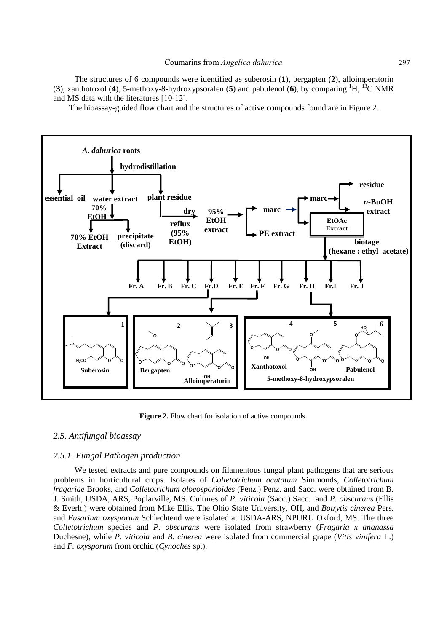The structures of 6 compounds were identified as suberosin (**1**), bergapten (**2**), alloimperatorin (**3**), xanthotoxol (**4**), 5-methoxy-8-hydroxypsoralen (**5**) and pabulenol (**6**), by comparing <sup>1</sup>H, <sup>13</sup>C NMR and MS data with the literatures [10-12].

The bioassay-guided flow chart and the structures of active compounds found are in Figure 2.



Figure 2. Flow chart for isolation of active compounds.

#### *2.5. Antifungal bioassay*

# *2.5.1. Fungal Pathogen production*

We tested extracts and pure compounds on filamentous fungal plant pathogens that are serious problems in horticultural crops. Isolates of *Colletotrichum acutatum* Simmonds, *Colletotrichum fragariae* Brooks, and *Colletotrichum gloeosporioides* (Penz.) Penz. and Sacc. were obtained from B. J. Smith, USDA, ARS, Poplarville, MS. Cultures of *P.* v*iticola* (Sacc.) Sacc.and *P. obscurans* (Ellis & Everh.) were obtained from Mike Ellis, The Ohio State University, OH, and *Botrytis cinerea* Pers. and *Fusarium oxysporum* Schlechtend were isolated at USDA-ARS, NPURU Oxford, MS. The three *Colletotrichum* species and *P. obscurans* were isolated from strawberry (*Fragaria x ananassa* Duchesne), while *P.* v*iticola* and *B. cinerea* were isolated from commercial grape (*Vitis* v*inifera* L.) and *F. oxysporum* from orchid (*Cynoches* sp.).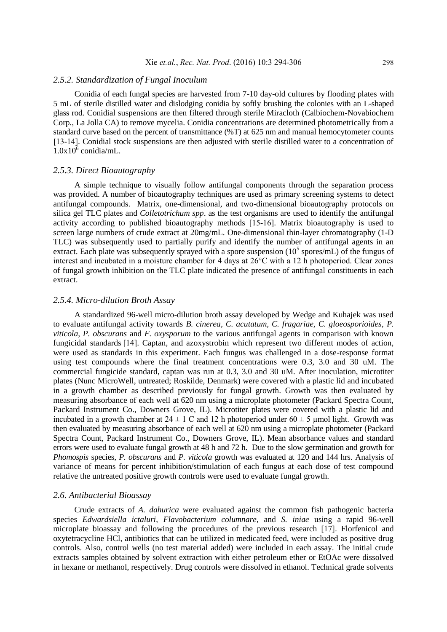# *2.5.2. Standardization of Fungal Inoculum*

Conidia of each fungal species are harvested from 7-10 day-old cultures by flooding plates with 5 mL of sterile distilled water and dislodging conidia by softly brushing the colonies with an L-shaped glass rod. Conidial suspensions are then filtered through sterile Miracloth (Calbiochem-Novabiochem Corp., La Jolla CA) to remove mycelia. Conidia concentrations are determined photometrically from a standard curve based on the percent of transmittance (%T) at 625 nm and manual hemocytometer counts **[**13-14]. Conidial stock suspensions are then adjusted with sterile distilled water to a concentration of  $1.0x10^6$  conidia/mL.

#### *2.5.3. Direct Bioautography*

A simple technique to visually follow antifungal components through the separation process was provided. A number of bioautography techniques are used as primary screening systems to detect antifungal compounds. Matrix, one-dimensional, and two-dimensional bioautography protocols on silica gel TLC plates and *Colletotrichum spp*. as the test organisms are used to identify the antifungal activity according to published bioautography methods [15-16]. Matrix bioautography is used to screen large numbers of crude extract at 20mg/mL. One-dimensional thin-layer chromatography (1-D TLC) was subsequently used to partially purify and identify the number of antifungal agents in an extract. Each plate was subsequently sprayed with a spore suspension  $(10^5 \text{ spores/mL})$  of the fungus of interest and incubated in a moisture chamber for 4 days at 26°C with a 12 h photoperiod. Clear zones of fungal growth inhibition on the TLC plate indicated the presence of antifungal constituents in each extract.

# *2.5.4. Micro-dilution Broth Assay*

A standardized 96-well micro-dilution broth assay developed by Wedge and Kuhajek was used to evaluate antifungal activity towards *B. cinerea, C. acutatum, C. fragariae, C. gloeosporioides, P. viticola, P. obscurans* and *F. oxysporum* to the various antifungal agents in comparison with known fungicidal standards [14]. Captan, and azoxystrobin which represent two different modes of action, were used as standards in this experiment. Each fungus was challenged in a dose-response format using test compounds where the final treatment concentrations were 0.3, 3.0 and 30 uM. The commercial fungicide standard, captan was run at 0.3, 3.0 and 30 uM. After inoculation, microtiter plates (Nunc MicroWell, untreated; Roskilde, Denmark) were covered with a plastic lid and incubated in a growth chamber as described previously for fungal growth. Growth was then evaluated by measuring absorbance of each well at 620 nm using a microplate photometer (Packard Spectra Count, Packard Instrument Co., Downers Grove, IL). Microtiter plates were covered with a plastic lid and incubated in a growth chamber at  $24 \pm 1$  C and 12 h photoperiod under  $60 \pm 5$  µmol light. Growth was then evaluated by measuring absorbance of each well at 620 nm using a microplate photometer (Packard Spectra Count, Packard Instrument Co., Downers Grove, IL). Mean absorbance values and standard errors were used to evaluate fungal growth at 48 h and 72 h. Due to the slow germination and growth for *Phomospis* species, *P. obscurans* and *P. viticola* growth was evaluated at 120 and 144 hrs. Analysis of variance of means for percent inhibition/stimulation of each fungus at each dose of test compound relative the untreated positive growth controls were used to evaluate fungal growth.

# *2.6. Antibacterial Bioassay*

Crude extracts of *A. dahurica* were evaluated against the common fish pathogenic bacteria species *Edwardsiella ictaluri*, *Flavobacterium columnare*, and *S. iniae* using a rapid 96-well microplate bioassay and following the procedures of the previous research [17]. Florfenicol and oxytetracycline HCl, antibiotics that can be utilized in medicated feed, were included as positive drug controls. Also, control wells (no test material added) were included in each assay. The initial crude extracts samples obtained by solvent extraction with either petroleum ether or EtOAc were dissolved in hexane or methanol, respectively. Drug controls were dissolved in ethanol. Technical grade solvents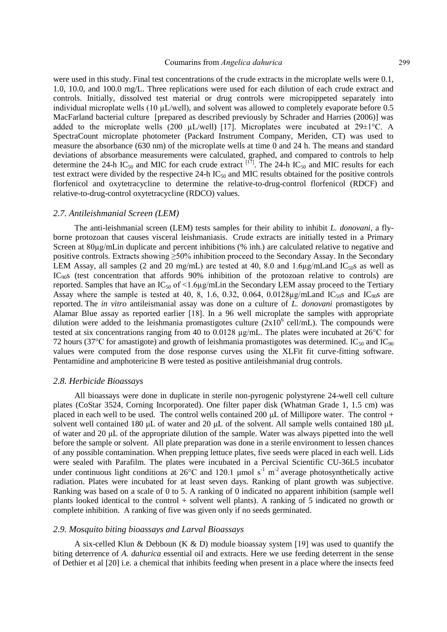#### Coumarins from *Angelica dahurica* 299

were used in this study. Final test concentrations of the crude extracts in the microplate wells were 0.1, 1.0, 10.0, and 100.0 mg/L. Three replications were used for each dilution of each crude extract and controls. Initially, dissolved test material or drug controls were micropippeted separately into individual microplate wells  $(10 \mu L/well)$ , and solvent was allowed to completely evaporate before 0.5 MacFarland bacterial culture [prepared as described previously by Schrader and Harries (2006)] was added to the microplate wells (200  $\mu$ L/well) [17]. Microplates were incubated at 29 $\pm$ 1°C. A SpectraCount microplate photometer (Packard Instrument Company, Meriden, CT) was used to measure the absorbance (630 nm) of the microplate wells at time 0 and 24 h. The means and standard deviations of absorbance measurements were calculated, graphed, and compared to controls to help determine the 24-h IC<sub>50</sub> and MIC for each crude extract  $^{[17]}$ . The 24-h IC<sub>50</sub> and MIC results for each test extract were divided by the respective 24-h  $IC_{50}$  and MIC results obtained for the positive controls florfenicol and oxytetracycline to determine the relative-to-drug-control florfenicol (RDCF) and relative-to-drug-control oxytetracycline (RDCO) values.

# *2.7. Antileishmanial Screen (LEM)*

The anti-leishmanial screen (LEM) tests samples for their ability to inhibit *L. donovani*, a flyborne protozoan that causes visceral leishmaniasis. Crude extracts are initially tested in a Primary Screen at 80µg/mLin duplicate and percent inhibitions (% inh.) are calculated relative to negative and positive controls. Extracts showing  $\geq$ 50% inhibition proceed to the Secondary Assay. In the Secondary LEM Assay, all samples (2 and 20 mg/mL) are tested at 40, 8.0 and 1.6 $\mu$ g/mLand IC<sub>50</sub>s as well as IC<sub>90</sub>s (test concentration that affords 90% inhibition of the protozoan relative to controls) are reported. Samples that have an  $IC_{50}$  of  $\leq 1.6\mu$ g/mLin the Secondary LEM assay proceed to the Tertiary Assay where the sample is tested at 40, 8, 1.6, 0.32, 0.064, 0.0128 $\mu$ g/mLand IC<sub>50</sub>s and IC<sub>90</sub>s are reported. The *in vitro* antileismanial assay was done on a culture of *L. donovani* promastigotes by Alamar Blue assay as reported earlier [18]. In a 96 well microplate the samples with appropriate dilution were added to the leishmania promastigotes culture  $(2x10^6 \text{ cell/mL})$ . The compounds were tested at six concentrations ranging from 40 to 0.0128 µg/mL. The plates were incubated at 26°C for 72 hours (37°C for amastigote) and growth of leishmania promastigotes was determined. IC<sub>50</sub> and IC<sub>90</sub> values were computed from the dose response curves using the XLFit fit curve-fitting software. Pentamidine and amphotericine B were tested as positive antileishmanial drug controls.

#### *2.8. Herbicide Bioassays*

All bioassays were done in duplicate in sterile non-pyrogenic polystyrene 24-well cell culture plates (CoStar 3524, Corning Incorporated). One filter paper disk (Whatman Grade 1, 1.5 cm) was placed in each well to be used. The control wells contained 200  $\mu$ L of Millipore water. The control + solvent well contained 180 μL of water and 20 μL of the solvent. All sample wells contained 180 μL of water and 20 μL of the appropriate dilution of the sample. Water was always pipetted into the well before the sample or solvent. All plate preparation was done in a sterile environment to lessen chances of any possible contamination. When prepping lettuce plates, five seeds were placed in each well. Lids were sealed with Parafilm. The plates were incubated in a Percival Scientific CU-36L5 incubator under continuous light conditions at 26 $^{\circ}$ C and 120.1 µmol s<sup>-1</sup> m<sup>-2</sup> average photosynthetically active radiation. Plates were incubated for at least seven days. Ranking of plant growth was subjective. Ranking was based on a scale of 0 to 5. A ranking of 0 indicated no apparent inhibition (sample well plants looked identical to the control + solvent well plants). A ranking of 5 indicated no growth or complete inhibition. A ranking of five was given only if no seeds germinated.

# *2.9. Mosquito biting bioassays and Larval Bioassays*

A six-celled Klun & Debboun (K & D) module bioassay system [19] was used to quantify the biting deterrence of *A. dahurica* essential oil and extracts. Here we use feeding deterrent in the sense of Dethier et al [20] i.e. a chemical that inhibits feeding when present in a place where the insects feed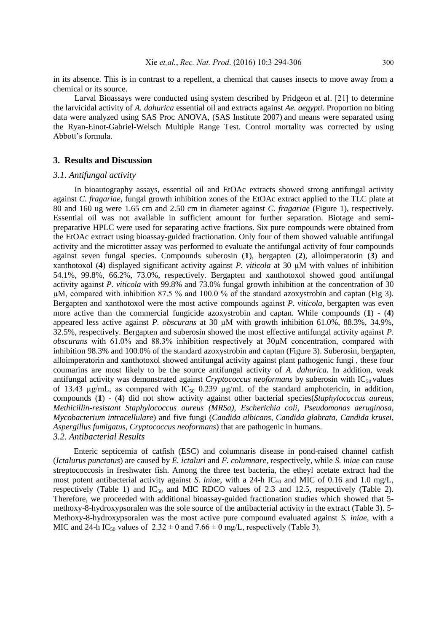in its absence. This is in contrast to a repellent, a chemical that causes insects to move away from a chemical or its source.

Larval Bioassays were conducted using system described by Pridgeon et al. [21] to determine the larvicidal activity of *A. dahurica* essential oil and extracts against *Ae. aegypti*. Proportion no biting data were analyzed using SAS Proc ANOVA, (SAS Institute 2007) and means were separated using the Ryan-Einot-Gabriel-Welsch Multiple Range Test. Control mortality was corrected by using Abbott's formula.

# **3. Results and Discussion**

#### *3.1. Antifungal activity*

In bioautography assays, essential oil and EtOAc extracts showed strong antifungal activity against *C. fragariae*, fungal growth inhibition zones of the EtOAc extract applied to the TLC plate at 80 and 160 ug were 1.65 cm and 2.50 cm in diameter against *C. fragariae* (Figure 1), respectively. Essential oil was not available in sufficient amount for further separation. Biotage and semipreparative HPLC were used for separating active fractions. Six pure compounds were obtained from the EtOAc extract using bioassay-guided fractionation. Only four of them showed valuable antifungal activity and the microtitter assay was performed to evaluate the antifungal activity of four compounds against seven fungal species. Compounds suberosin (**1**), bergapten (**2**), alloimperatorin (**3**) and xanthotoxol (**4**) displayed significant activity against *P. viticola* at 30 µM with values of inhibition 54.1%, 99.8%, 66.2%, 73.0%, respectively. Bergapten and xanthotoxol showed good antifungal activity against *P. viticola* with 99.8% and 73.0% fungal growth inhibition at the concentration of 30 µM, compared with inhibition 87.5 % and 100.0 % of the standard azoxystrobin and captan (Fig 3). Bergapten and xanthotoxol were the most active compounds against *P. viticola*, bergapten was even more active than the commercial fungicide azoxystrobin and captan. While compounds (**1**) - (**4**) appeared less active against *P. obscurans* at 30 µM with growth inhibition 61.0%, 88.3%, 34.9%, 32.5%, respectively. Bergapten and suberosin showed the most effective antifungal activity against *P. obscurans* with 61.0% and 88.3% inhibition respectively at 30µM concentration, compared with inhibition 98.3% and 100.0% of the standard azoxystrobin and captan (Figure 3). Suberosin, bergapten, alloimperatorin and xanthotoxol showed antifungal activity against plant pathogenic fungi , these four coumarins are most likely to be the source antifungal activity of *A. dahurica.* In addition, weak antifungal activity was demonstrated against *Cryptococcus neoformans* by suberosin with IC<sub>50</sub> values of 13.43  $\mu$ g/mL, as compared with IC<sub>50</sub> 0.239  $\mu$ g/mL of the standard amphotericin, in addition, compounds (**1**) - (**4**) did not show activity against other bacterial species(*Staphylococcus aureus*, *Methicillin-resistant Staphylococcus aureus (MRSa)*, *Escherichia coli*, *Pseudomonas aeruginosa*, *Mycobacterium intracellulare*) and five fungi (*Candida albicans*, *Candida glabrata*, *Candida krusei*, *Aspergillus fumigatus*, *Cryptococcus neoformans*) that are pathogenic in humans. *3.2. Antibacterial Results*

Enteric septicemia of catfish (ESC) and columnaris disease in pond-raised channel catfish (*Ictalurus punctatus*) are caused by *E. ictaluri* and *F. columnare*, respectively, while *S. iniae* can cause streptococcosis in freshwater fish. Among the three test bacteria, the etheyl acetate extract had the most potent antibacterial activity against *S. iniae*, with a 24-h IC<sub>50</sub> and MIC of 0.16 and 1.0 mg/L, respectively (Table 1) and  $IC_{50}$  and MIC RDCO values of 2.3 and 12.5, respectively (Table 2). Therefore, we proceeded with additional bioassay-guided fractionation studies which showed that 5 methoxy-8-hydroxypsoralen was the sole source of the antibacterial activity in the extract (Table 3). 5- Methoxy-8-hydroxypsoralen was the most active pure compound evaluated against *S. iniae*, with a MIC and 24-h IC<sub>50</sub> values of  $2.32 \pm 0$  and  $7.66 \pm 0$  mg/L, respectively (Table 3).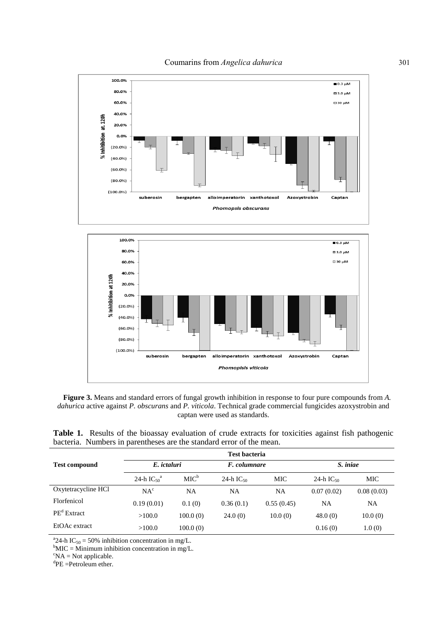



**Figure 3.** Means and standard errors of fungal growth inhibition in response to four pure compounds from *A. dahurica* active against *P. obscurans* and *P. viticola*. Technical grade commercial fungicides azoxystrobin and captan were used as standards.

**Table 1.** Results of the bioassay evaluation of crude extracts for toxicities against fish pathogenic bacteria. Numbers in parentheses are the standard error of the mean.

|                      | <b>Test bacteria</b>        |                  |                |            |                |            |  |
|----------------------|-----------------------------|------------------|----------------|------------|----------------|------------|--|
| <b>Test compound</b> | E. ictaluri                 |                  | F. columnare   |            | S. iniae       |            |  |
|                      | 24-h $IC_{50}$ <sup>a</sup> | MIC <sup>b</sup> | 24-h $IC_{50}$ | MIC        | 24-h $IC_{50}$ | MIC        |  |
| Oxytetracycline HCl  | NA <sup>c</sup>             | NA               | NA             | NA         | 0.07(0.02)     | 0.08(0.03) |  |
| Florfenicol          | 0.19(0.01)                  | 0.1(0)           | 0.36(0.1)      | 0.55(0.45) | NA             | NA         |  |
| $PEd$ Extract        | >100.0                      | 100.0(0)         | 24.0(0)        | 10.0(0)    | 48.0(0)        | 10.0(0)    |  |
| EtOAc extract        | >100.0                      | 100.0(0)         |                |            | 0.16(0)        | 1.0(0)     |  |

<sup>a</sup> 24-h IC<sub>50</sub> = 50% inhibition concentration in mg/L.

 ${}^{\text{b}}$ MIC = Minimum inhibition concentration in mg/L.

 ${}^{\circ}NA = Not$  applicable.

 ${}^{d}$ PE =Petroleum ether.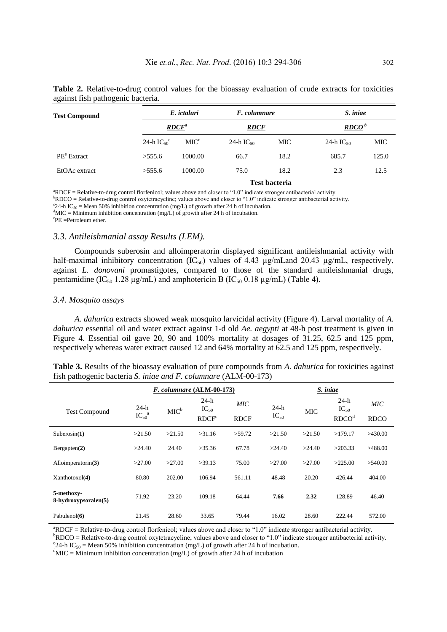| <b>Test Compound</b>    |                             | E. ictaluri<br>$\mathbb{R} \mathbb{D} \mathbb{C} \mathbb{F}^a$ |                | F. columnare | S. iniae          |       |  |
|-------------------------|-----------------------------|----------------------------------------------------------------|----------------|--------------|-------------------|-------|--|
|                         |                             |                                                                |                | <b>RDCF</b>  | RDCO <sup>b</sup> |       |  |
|                         | 24-h $IC_{50}$ <sup>c</sup> | MIC <sup>d</sup>                                               | 24-h $IC_{50}$ | MIC          | 24-h $IC_{50}$    | MIC   |  |
| PE <sup>e</sup> Extract | >555.6                      | 1000.00                                                        | 66.7           | 18.2         | 685.7             | 125.0 |  |
| EtOAc extract           | >555.6                      | 1000.00                                                        | 75.0           | 18.2         | 2.3               | 12.5  |  |
|                         |                             | <b>Test bacteria</b>                                           |                |              |                   |       |  |

**Table 2.** Relative-to-drug control values for the bioassay evaluation of crude extracts for toxicities against fish pathogenic bacteria.

<sup>a</sup>RDCF = Relative-to-drug control florfenicol; values above and closer to "1.0" indicate stronger antibacterial activity.

 $bRDCO = Relative-to-drug control oxytetracyclic, values above and closer to "1.0" indicate stronger antibacterial activity.$ 

<sup>c</sup>24-h IC<sub>50</sub> = Mean 50% inhibition concentration (mg/L) of growth after 24 h of incubation.

 $d$ MIC = Minimum inhibition concentration (mg/L) of growth after 24 h of incubation.

e PE =Petroleum ether.

#### *3.3. Antileishmanial assay Results (LEM).*

Compounds suberosin and alloimperatorin displayed significant antileishmanial activity with half-maximal inhibitory concentration  $(IC_{50})$  values of 4.43  $\mu$ g/mLand 20.43  $\mu$ g/mL, respectively, against *L. donovani* promastigotes, compared to those of the standard antileishmanial drugs, pentamidine (IC<sub>50</sub> 1.28  $\mu$ g/mL) and amphotericin B (IC<sub>50</sub> 0.18  $\mu$ g/mL) (Table 4).

#### *3.4. Mosquito assay*s

*A. dahurica* extracts showed weak mosquito larvicidal activity (Figure 4). Larval mortality of *A. dahurica* essential oil and water extract against 1-d old *Ae. aegypti* at 48-h post treatment is given in Figure 4. Essential oil gave 20, 90 and 100% mortality at dosages of 31.25, 62.5 and 125 ppm, respectively whereas water extract caused 12 and 64% mortality at 62.5 and 125 ppm, respectively.

| <b>Table 3.</b> Results of the bioassay evaluation of pure compounds from A. dahurica for toxicities against |  |  |
|--------------------------------------------------------------------------------------------------------------|--|--|
| fish pathogenic bacteria S. iniae and F. columnare (ALM-00-173)                                              |  |  |

|                                    | F. columnare (ALM-00-173)     |                  |                                          |                    | S. iniae            |            |                                          |                    |
|------------------------------------|-------------------------------|------------------|------------------------------------------|--------------------|---------------------|------------|------------------------------------------|--------------------|
| <b>Test Compound</b>               | $24-h$<br>$IC_{50}^{\quad a}$ | MIC <sup>b</sup> | $24-h$<br>$IC_{50}$<br>RDCF <sup>c</sup> | MIC<br><b>RDCF</b> | $24-h$<br>$IC_{50}$ | <b>MIC</b> | $24-h$<br>$IC_{50}$<br>RDCO <sup>d</sup> | MIC<br><b>RDCO</b> |
| Suberosin(1)                       | >21.50                        | >21.50           | >31.16                                   | >59.72             | >21.50              | >21.50     | >179.17                                  | >430.00            |
| Bergapten(2)                       | >24.40                        | 24.40            | >35.36                                   | 67.78              | >24.40              | >24.40     | >203.33                                  | >488.00            |
| Alloimperatorin(3)                 | >27.00                        | >27.00           | >39.13                                   | 75.00              | >27.00              | >27.00     | >225.00                                  | >540.00            |
| Xanthotoxol(4)                     | 80.80                         | 202.00           | 106.94                                   | 561.11             | 48.48               | 20.20      | 426.44                                   | 404.00             |
| 5-methoxy-<br>8-hydroxypsoralen(5) | 71.92                         | 23.20            | 109.18                                   | 64.44              | 7.66                | 2.32       | 128.89                                   | 46.40              |
| Pabulenol(6)                       | 21.45                         | 28.60            | 33.65                                    | 79.44              | 16.02               | 28.60      | 222.44                                   | 572.00             |

<sup>a</sup>RDCF = Relative-to-drug control florfenicol; values above and closer to "1.0" indicate stronger antibacterial activity.

 $bRDCO = Relative-to-drug control$  oxytetracycline; values above and closer to "1.0" indicate stronger antibacterial activity. <sup>c</sup>24-h IC<sub>50</sub> = Mean 50% inhibition concentration (mg/L) of growth after 24 h of incubation.

 $d$ MIC = Minimum inhibition concentration (mg/L) of growth after 24 h of incubation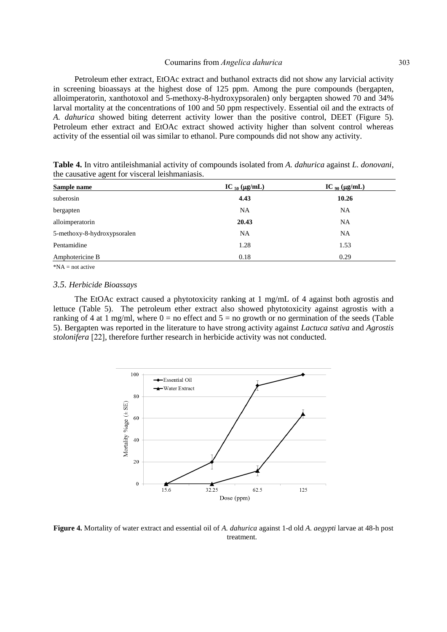Petroleum ether extract, EtOAc extract and buthanol extracts did not show any larvicial activity in screening bioassays at the highest dose of 125 ppm. Among the pure compounds (bergapten, alloimperatorin, xanthotoxol and 5-methoxy-8-hydroxypsoralen) only bergapten showed 70 and 34% larval mortality at the concentrations of 100 and 50 ppm respectively. Essential oil and the extracts of *A. dahurica* showed biting deterrent activity lower than the positive control, DEET (Figure 5). Petroleum ether extract and EtOAc extract showed activity higher than solvent control whereas activity of the essential oil was similar to ethanol. Pure compounds did not show any activity.

| Sample name                 | IC $_{50}$ (µg/mL) | IC $_{90}$ ( $\mu$ g/mL) |
|-----------------------------|--------------------|--------------------------|
| suberosin                   | 4.43               | 10.26                    |
| bergapten                   | NA                 | NA                       |
| alloimperatorin             | 20.43              | <b>NA</b>                |
| 5-methoxy-8-hydroxypsoralen | NA                 | NA                       |
| Pentamidine                 | 1.28               | 1.53                     |
| Amphotericine B             | 0.18               | 0.29                     |
|                             |                    |                          |

**Table 4.** In vitro antileishmanial activity of compounds isolated from *A. dahurica* against *L. donovani*, the causative agent for visceral leishmaniasis.

 $*NA$  = not active

#### *3.5. Herbicide Bioassays*

The EtOAc extract caused a phytotoxicity ranking at 1 mg/mL of 4 against both agrostis and lettuce (Table 5). The petroleum ether extract also showed phytotoxicity against agrostis with a ranking of 4 at 1 mg/ml, where  $0 =$  no effect and  $5 =$  no growth or no germination of the seeds (Table 5). Bergapten was reported in the literature to have strong activity against *Lactuca sativa* and *Agrostis stolonifera* [22], therefore further research in herbicide activity was not conducted.



**Figure 4.** Mortality of water extract and essential oil of *A. dahurica* against 1-d old *A. aegypti* larvae at 48-h post treatment.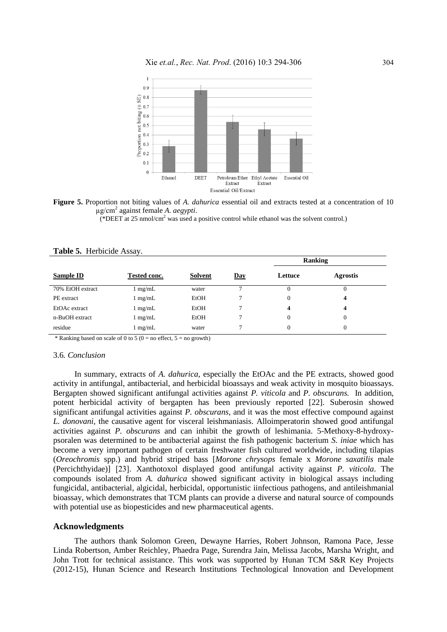

**Figure 5.** Proportion not biting values of *A. dahurica* essential oil and extracts tested at a concentration of 10 µg/cm<sup>2</sup> against female *A. aegypti*.

(\*DEET at 25 nmol/cm<sup>2</sup> was used a positive control while ethanol was the solvent control.)

|                  |                   |                |     | Ranking  |                 |  |
|------------------|-------------------|----------------|-----|----------|-----------------|--|
| <b>Sample ID</b> | Tested conc.      | <b>Solvent</b> | Day | Lettuce  | <b>Agrostis</b> |  |
| 70% EtOH extract | $\lfloor$ mg/mL   | water          | ⇁   | $^{(1)}$ | 0               |  |
| PE extract       | $1 \text{ mg/mL}$ | EtOH           | 7   | 0        | 4               |  |
| EtOAc extract    | $1 \text{ mg/mL}$ | EtOH           | 7   | 4        | 4               |  |
| n-BuOH extract   | $1 \text{ mg/mL}$ | EtOH           | 7   | $\Omega$ | 0               |  |
| residue          | $1 \text{ mg/mL}$ | water          | 7   | $\Omega$ | 0               |  |

### **Table 5.** Herbicide Assay.

\* Ranking based on scale of 0 to 5 (0 = no effect,  $5 =$  no growth)

#### 3.6*. Conclusion*

In summary, extracts of *A. dahurica*, especially the EtOAc and the PE extracts, showed good activity in antifungal, antibacterial, and herbicidal bioassays and weak activity in mosquito bioassays. Bergapten showed significant antifungal activities against *P. viticola* and *P. obscurans.* In addition, potent herbicidal activity of bergapten has been previously reported [22]. Suberosin showed significant antifungal activities against *P. obscurans*, and it was the most effective compound against *L. donovani*, the causative agent for visceral leishmaniasis. Alloimperatorin showed good antifungal activities against *P. obscurans* and can inhibit the growth of leshimania. 5-Methoxy-8-hydroxypsoralen was determined to be antibacterial against the fish pathogenic bacterium *S. iniae* which has become a very important pathogen of certain freshwater fish cultured worldwide, including tilapias (*Oreochromis* spp.) and hybrid striped bass [*Morone chrysops* female x *Morone saxatilis* male (Percichthyidae)] [23]. Xanthotoxol displayed good antifungal activity against *P. viticola*. The compounds isolated from *A. dahurica* showed significant activity in biological assays including fungicidal, antibacterial, algicidal, herbicidal, opportunistic iinfectious pathogens, and antileishmanial bioassay, which demonstrates that TCM plants can provide a diverse and natural source of compounds with potential use as biopesticides and new pharmaceutical agents.

#### **Acknowledgments**

The authors thank Solomon Green, Dewayne Harries, Robert Johnson, Ramona Pace, Jesse Linda Robertson, Amber Reichley, Phaedra Page, Surendra Jain, Melissa Jacobs, Marsha Wright, and John Trott for technical assistance. This work was supported by Hunan TCM S&R Key Projects (2012-15), Hunan Science and Research Institutions Technological Innovation and Development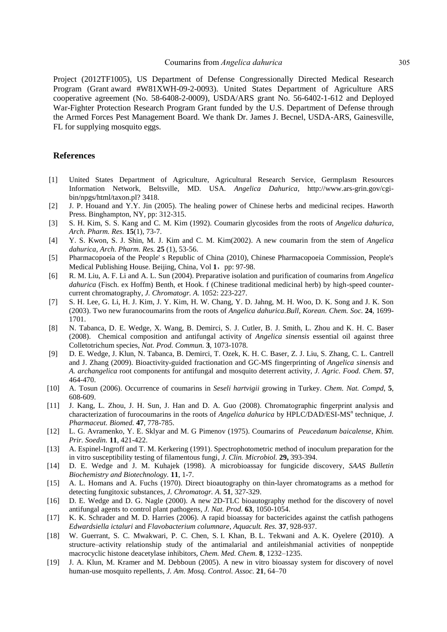Project (2012TF1005), US Department of Defense Congressionally Directed Medical Research Program (Grant award #W81XWH-09-2-0093). United States Department of Agriculture ARS cooperative agreement (No. 58-6408-2-0009), USDA/ARS grant No. 56-6402-1-612 and Deployed War-Fighter Protection Research Program Grant funded by the U.S. Department of Defense through the Armed Forces Pest Management Board. We thank Dr. James J. Becnel, USDA-ARS, Gainesville, FL for supplying mosquito eggs.

# **References**

- [1] United States Department of Agriculture, Agricultural Research Service, Germplasm Resources Information Network, Beltsville, MD. USA. *Angelica Dahurica*, http://www.ars-grin.gov/cgibin/npgs/html/taxon.pl? 3418.
- [2] J. P. Houand and Y.Y. Jin (2005). The healing power of Chinese herbs and medicinal recipes. Haworth Press. Binghampton, NY, pp: 312-315.
- [3] S. H. Kim, S. S. Kang and C. M. Kim (1992). Coumarin glycosides from the roots of *Angelica dahurica*, *Arch. Pharm. Res.* **15**(1), 73-7.
- [4] Y. S. Kwon, S. J. Shin, M. J. Kim and C. M. Kim(2002). A new coumarin from the stem of *Angelica dahurica*, *Arch. Pharm. Res.* **25** (1), 53-56.
- [5] Pharmacopoeia of the People' s Republic of China (2010), Chinese Pharmacopoeia Commission, People's Medical Publishing House. Beijing, China, Vol 1, pp: 97-98.
- [6] R. M. Liu, A. F. Li and A. L. Sun (2004). Preparative isolation and purification of coumarins from *Angelica dahurica* (Fisch. ex Hoffm) Benth, et Hook. f (Chinese traditional medicinal herb) by high-speed countercurrent chromatography, *J. Chromatogr. A.* 1052: 223-227.
- [7] S. H. Lee, G. Li, H. J. Kim, J. Y. Kim, H. W. Chang, Y. D. Jahng, M. H. Woo, D. K. Song and J. K. Son (2003). Two new furanocoumarins from the roots of *Angelica dahurica.Bull, Korean. Chem. Soc.* **24**, 1699- 1701.
- [8] N. Tabanca, D. E. Wedge, X. Wang, B. Demirci, S. J. Cutler, B. J. Smith, L. Zhou and K. H. C. Baser (2008). Chemical composition and antifungal activity of *Angelica sinensis* essential oil against three Colletotrichum species, *Nat. Prod. Commun.* **3**, 1073-1078.
- [9] D. E. Wedge, J. Klun, N. Tabanca, B. Demirci, T. Ozek, K. H. C. Baser, Z. J. Liu, S. Zhang, C. L. Cantrell and J. Zhang (2009). Bioactivity-guided fractionation and GC-MS fingerprinting of *Angelica sinensis* and *A. archangelica* root components for antifungal and mosquito deterrent activity*, J. Agric. Food. Chem.* **57**, 464-470.
- [10] A. Tosun (2006). Occurrence of coumarins in *Seseli hartvigii* growing in Turkey. *Chem. Nat. Compd*, **5**, 608-609.
- [11] J. Kang, L. Zhou, J. H. Sun, J. Han and D. A. Guo (2008). Chromatographic fingerprint analysis and characterization of furocoumarins in the roots of *Angelica dahurica* by HPLC/DAD/ESI-MS<sup>n</sup> technique, *J. Pharmaceut. Biomed.* **47**, 778-785.
- [12] L. G. Avramenko, Y. E. Sklyar and M. G Pimenov (1975). Coumarins of *Peucedanum baicalense*, *Khim. Prir. Soedin.* **11**, 421-422.
- [13] A. Espinel-Ingroff and T. M. Kerkering (1991). Spectrophotometric method of inoculum preparation for the in vitro susceptibility testing of filamentous fungi, *J. Clin. Microbiol.* **29,** 393-394.
- [14] D. E. Wedge and J. M. Kuhajek (1998). A microbioassay for fungicide discovery, *SAAS Bulletin Biochemistry and Biotechnology.* **11**, 1-7.
- [15] A. L. Homans and A. Fuchs (1970). Direct bioautography on thin-layer chromatograms as a method for detecting fungitoxic substances*, J. Chromatogr. A.* **51**, 327-329.
- [16] D. E. Wedge and D. G. Nagle (2000). A new 2D-TLC bioautography method for the discovery of novel antifungal agents to control plant pathogens, *J. Nat. Prod.* **63**, 1050-1054.
- [17] K. K. Schrader and M. D. Harries (2006). A rapid bioassay for bactericides against the catfish pathogens *Edwardsiella ictaluri* and *Flavobacterium columnare*, *Aquacult. Res.* **37**, 928-937.
- [18] W. Guerrant, S. C. Mwakwari, P. C. Chen, S. I. Khan, B. L. Tekwani and A. K. Oyelere (2010). A structure–activity relationship study of the antimalarial and antileishmanial activities of nonpeptide macrocyclic histone deacetylase inhibitors, *Chem. Med. Chem.* **8**[, 1](http://onlinelibrary.wiley.com/doi/10.1002/cmdc.v5:8/issuetoc)232–1235.
- [19] J. A. Klun, M. Kramer and M. Debboun (2005). A new in vitro bioassay system for discovery of novel human-use mosquito repellents, *J. Am. Mosq. Control. Assoc.* **21**, 64–70